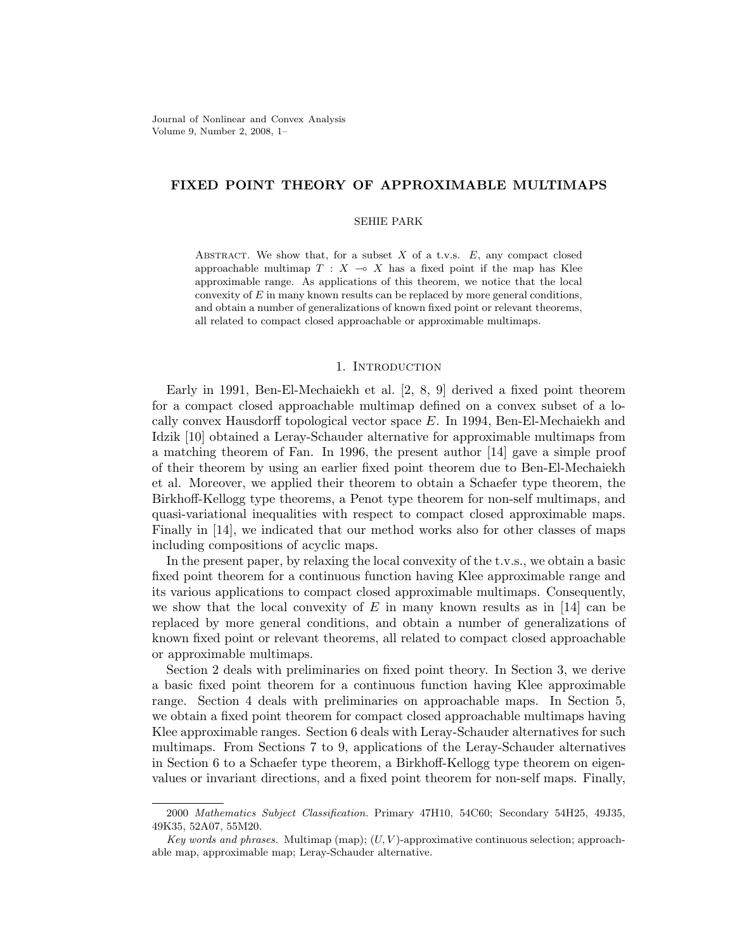Journal of Nonlinear and Convex Analysis Volume 9, Number 2, 2008, 1–

# FIXED POINT THEORY OF APPROXIMABLE MULTIMAPS

#### SEHIE PARK

ABSTRACT. We show that, for a subset  $X$  of a t.v.s.  $E$ , any compact closed approachable multimap  $T : X \longrightarrow X$  has a fixed point if the map has Klee approximable range. As applications of this theorem, we notice that the local convexity of  $E$  in many known results can be replaced by more general conditions, and obtain a number of generalizations of known fixed point or relevant theorems, all related to compact closed approachable or approximable multimaps.

#### 1. INTRODUCTION

Early in 1991, Ben-El-Mechaiekh et al. [2, 8, 9] derived a fixed point theorem for a compact closed approachable multimap defined on a convex subset of a locally convex Hausdorff topological vector space E. In 1994, Ben-El-Mechaiekh and Idzik [10] obtained a Leray-Schauder alternative for approximable multimaps from a matching theorem of Fan. In 1996, the present author [14] gave a simple proof of their theorem by using an earlier fixed point theorem due to Ben-El-Mechaiekh et al. Moreover, we applied their theorem to obtain a Schaefer type theorem, the Birkhoff-Kellogg type theorems, a Penot type theorem for non-self multimaps, and quasi-variational inequalities with respect to compact closed approximable maps. Finally in [14], we indicated that our method works also for other classes of maps including compositions of acyclic maps.

In the present paper, by relaxing the local convexity of the t.v.s., we obtain a basic fixed point theorem for a continuous function having Klee approximable range and its various applications to compact closed approximable multimaps. Consequently, we show that the local convexity of E in many known results as in [14] can be replaced by more general conditions, and obtain a number of generalizations of known fixed point or relevant theorems, all related to compact closed approachable or approximable multimaps.

Section 2 deals with preliminaries on fixed point theory. In Section 3, we derive a basic fixed point theorem for a continuous function having Klee approximable range. Section 4 deals with preliminaries on approachable maps. In Section 5, we obtain a fixed point theorem for compact closed approachable multimaps having Klee approximable ranges. Section 6 deals with Leray-Schauder alternatives for such multimaps. From Sections 7 to 9, applications of the Leray-Schauder alternatives in Section 6 to a Schaefer type theorem, a Birkhoff-Kellogg type theorem on eigenvalues or invariant directions, and a fixed point theorem for non-self maps. Finally,

<sup>2000</sup> Mathematics Subject Classification. Primary 47H10, 54C60; Secondary 54H25, 49J35, 49K35, 52A07, 55M20.

Key words and phrases. Multimap (map);  $(U, V)$ -approximative continuous selection; approachable map, approximable map; Leray-Schauder alternative.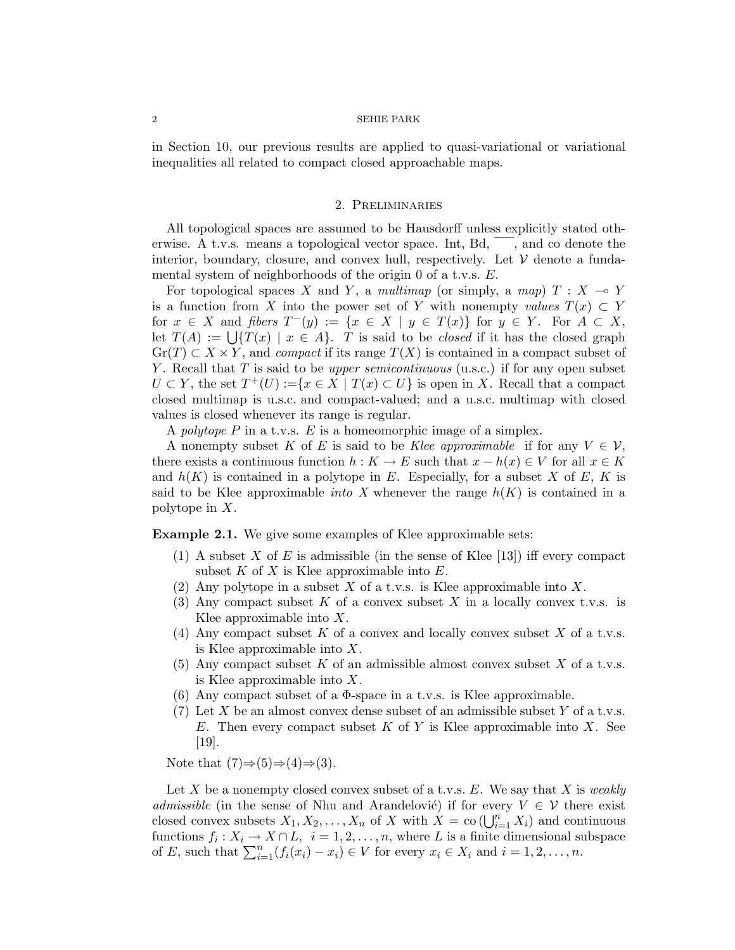in Section 10, our previous results are applied to quasi-variational or variational inequalities all related to compact closed approachable maps.

### 2. Preliminaries

All topological spaces are assumed to be Hausdorff unless explicitly stated otherwise. A t.v.s. means a topological vector space. Int, Bd,  $\ldots$  , and co denote the interior, boundary, closure, and convex hull, respectively. Let  $V$  denote a fundamental system of neighborhoods of the origin 0 of a t.v.s. E.

For topological spaces X and Y, a multimap (or simply, a map)  $T : X \rightarrow Y$ is a function from X into the power set of Y with nonempty values  $T(x) \subset Y$ for  $x \in X$  and fibers  $T^-(y) := \{x \in X \mid y \in T(x)\}\$ for  $y \in Y$ . For  $A \subset X$ , for  $x \in A$  and *poers*  $1(y) := \{x \in A \mid y \in I(x)\}$  for  $y \in Y$ . For  $A \subset A$ ,<br>let  $T(A) := \bigcup \{T(x) \mid x \in A\}$ . T is said to be *closed* if it has the closed graph  $\text{Gr}(T) \subset X \times Y$ , and *compact* if its range  $T(X)$  is contained in a compact subset of Y. Recall that T is said to be *upper semicontinuous* (u.s.c.) if for any open subset  $U \subset Y$ , the set  $T^+(U) := \{x \in X \mid T(x) \subset U\}$  is open in X. Recall that a compact closed multimap is u.s.c. and compact-valued; and a u.s.c. multimap with closed values is closed whenever its range is regular.

A polytope P in a t.v.s. E is a homeomorphic image of a simplex.

A nonempty subset K of E is said to be Klee approximable if for any  $V \in \mathcal{V}$ , there exists a continuous function  $h: K \to E$  such that  $x - h(x) \in V$  for all  $x \in K$ and  $h(K)$  is contained in a polytope in E. Especially, for a subset X of E, K is said to be Klee approximable *into X* whenever the range  $h(K)$  is contained in a polytope in X.

Example 2.1. We give some examples of Klee approximable sets:

- (1) A subset X of E is admissible (in the sense of Klee  $[13]$ ) iff every compact subset  $K$  of  $X$  is Klee approximable into  $E$ .
- (2) Any polytope in a subset  $X$  of a t.v.s. is Klee approximable into  $X$ .
- (3) Any compact subset K of a convex subset X in a locally convex t.v.s. is Klee approximable into  $X$ .
- (4) Any compact subset K of a convex and locally convex subset X of a t.v.s. is Klee approximable into X.
- (5) Any compact subset K of an admissible almost convex subset X of a t.v.s. is Klee approximable into X.
- (6) Any compact subset of a  $\Phi$ -space in a t.v.s. is Klee approximable.
- (7) Let X be an almost convex dense subset of an admissible subset Y of a t.v.s. E. Then every compact subset  $K$  of  $Y$  is Klee approximable into  $X$ . See [19].

Note that  $(7) \Rightarrow (5) \Rightarrow (4) \Rightarrow (3)$ .

Let X be a nonempty closed convex subset of a t.v.s.  $E$ . We say that X is weakly admissible (in the sense of Nhu and Arandelović) if for every  $V \in \mathcal{V}$  there exist damissiole (in the sense of Nini and Arandelovic) if for every  $V \in V$  there exist<br>closed convex subsets  $X_1, X_2, ..., X_n$  of X with  $X = co(\bigcup_{i=1}^n X_i)$  and continuous functions  $f_i: X_i \to X \cap L$ ,  $i = 1, 2, ..., n$ , where L is a finite dimensional subspace functions  $j_i: X_i \to X \sqcup L$ ,  $i = 1, 2, ..., n$ , where L is a limite dimensional st<br>of E, such that  $\sum_{i=1}^n (f_i(x_i) - x_i) \in V$  for every  $x_i \in X_i$  and  $i = 1, 2, ..., n$ .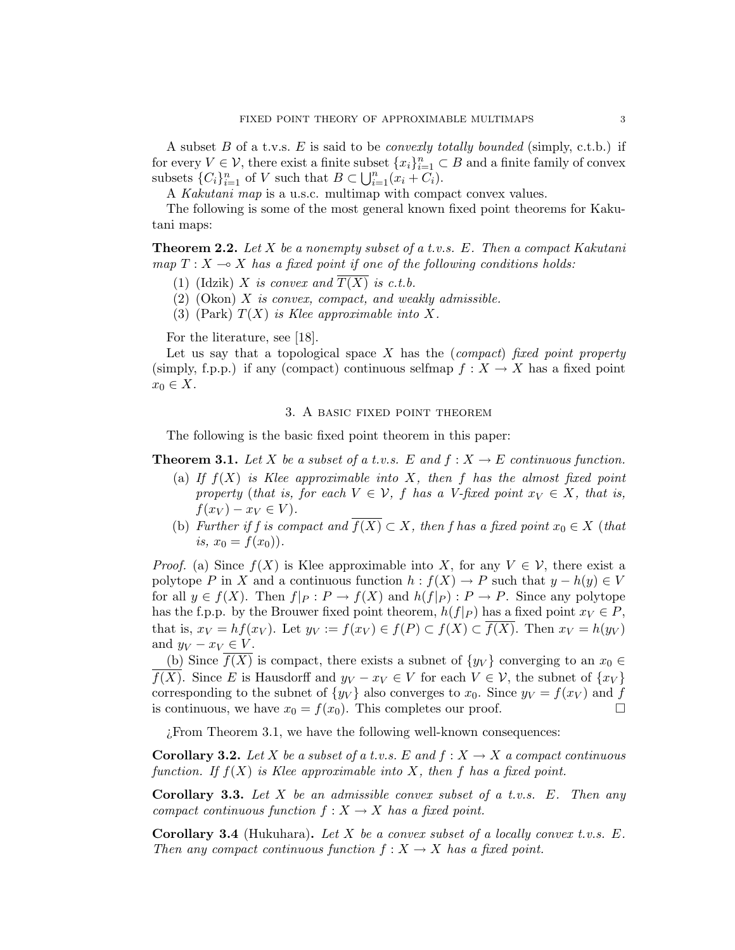A subset B of a t.v.s. E is said to be *convexly totally bounded* (simply, c.t.b.) if for every  $V \in V$ , there exist a finite subset  $\{x_i\}_{i=1}^n \subset B$  and a finite family of convex subsets  $\{C_i\}_{i=1}^n$  of V such that  $B \subset \bigcup_{i=1}^n (x_i + C_i)$ .

A *Kakutani map* is a u.s.c. multimap with compact convex values.

The following is some of the most general known fixed point theorems for Kakutani maps:

**Theorem 2.2.** Let X be a nonempty subset of a t.v.s. E. Then a compact Kakutani map  $T : X \longrightarrow X$  has a fixed point if one of the following conditions holds:

- (1) (Idzik) X is convex and  $\overline{T(X)}$  is c.t.b.
- $(2)$  (Okon) X is convex, compact, and weakly admissible.
- (3) (Park)  $T(X)$  is Klee approximable into X.

For the literature, see [18].

Let us say that a topological space X has the (*compact*) fixed point property (simply, f.p.p.) if any (compact) continuous selfmap  $f : X \to X$  has a fixed point  $x_0 \in X$ .

# 3. A basic fixed point theorem

The following is the basic fixed point theorem in this paper:

# **Theorem 3.1.** Let X be a subset of a t.v.s. E and  $f: X \to E$  continuous function.

- (a) If  $f(X)$  is Klee approximable into X, then f has the almost fixed point property (that is, for each  $V \in \mathcal{V}$ , f has a V-fixed point  $x_V \in X$ , that is,  $f(x_V) - x_V \in V$ .
- (b) Further if f is compact and  $\overline{f(X)} \subset X$ , then f has a fixed point  $x_0 \in X$  (that is,  $x_0 = f(x_0)$ .

*Proof.* (a) Since  $f(X)$  is Klee approximable into X, for any  $V \in \mathcal{V}$ , there exist a polytope P in X and a continuous function  $h : f(X) \to P$  such that  $y - h(y) \in V$ for all  $y \in f(X)$ . Then  $f|_P : P \to f(X)$  and  $h(f|_P) : P \to P$ . Since any polytope has the f.p.p. by the Brouwer fixed point theorem,  $h(f|_P)$  has a fixed point  $x_V \in P$ , that is,  $x_V = hf(x_V)$ . Let  $y_V := f(x_V) \in f(P) \subset f(X) \subset \overline{f(X)}$ . Then  $x_V = h(y_V)$ and  $y_V - x_V \in V$ .

(b) Since  $f(X)$  is compact, there exists a subnet of  $\{y_V\}$  converging to an  $x_0 \in$  $f(X)$ . Since E is Hausdorff and  $y_V - x_V \in V$  for each  $V \in V$ , the subnet of  $\{x_V\}$ corresponding to the subnet of  $\{y_V\}$  also converges to  $x_0$ . Since  $y_V = f(x_V)$  and f is continuous, we have  $x_0 = f(x_0)$ . This completes our proof.  $\Box$ 

¿From Theorem 3.1, we have the following well-known consequences:

**Corollary 3.2.** Let X be a subset of a t.v.s. E and  $f: X \to X$  a compact continuous function. If  $f(X)$  is Klee approximable into X, then f has a fixed point.

**Corollary 3.3.** Let X be an admissible convex subset of a t.v.s.  $E$ . Then any compact continuous function  $f : X \to X$  has a fixed point.

**Corollary 3.4** (Hukuhara). Let X be a convex subset of a locally convex t.v.s.  $E$ . Then any compact continuous function  $f: X \to X$  has a fixed point.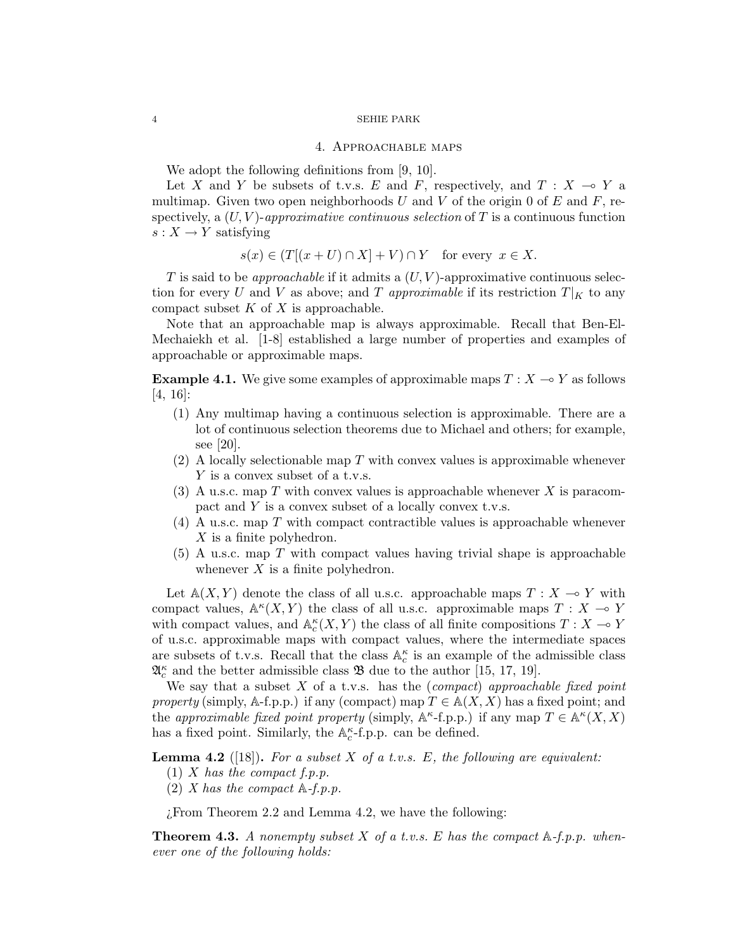### 4. Approachable maps

We adopt the following definitions from [9, 10].

Let X and Y be subsets of t.v.s. E and F, respectively, and  $T : X \multimap Y$  a multimap. Given two open neighborhoods U and V of the origin 0 of E and F, respectively, a  $(U, V)$ -approximative continuous selection of T is a continuous function  $s: X \to Y$  satisfying

$$
s(x) \in (T[(x+U) \cap X] + V) \cap Y
$$
 for every  $x \in X$ .

T is said to be *approachable* if it admits a  $(U, V)$ -approximative continuous selection for every U and V as above; and T approximable if its restriction  $T|_K$  to any compact subset  $K$  of  $X$  is approachable.

Note that an approachable map is always approximable. Recall that Ben-El-Mechaiekh et al. [1-8] established a large number of properties and examples of approachable or approximable maps.

**Example 4.1.** We give some examples of approximable maps  $T : X \rightarrow Y$  as follows [4, 16]:

- (1) Any multimap having a continuous selection is approximable. There are a lot of continuous selection theorems due to Michael and others; for example, see [20].
- (2) A locally selectionable map T with convex values is approximable whenever Y is a convex subset of a t.v.s.
- (3) A u.s.c. map T with convex values is approachable whenever X is paracompact and Y is a convex subset of a locally convex t.v.s.
- $(4)$  A u.s.c. map T with compact contractible values is approachable whenever X is a finite polyhedron.
- $(5)$  A u.s.c. map T with compact values having trivial shape is approachable whenever  $X$  is a finite polyhedron.

Let  $\mathbb{A}(X, Y)$  denote the class of all u.s.c. approachable maps  $T : X \to Y$  with compact values,  $\mathbb{A}^{\kappa}(X, Y)$  the class of all u.s.c. approximable maps  $T : X \to Y$ with compact values, and  $\mathbb{A}_{c}^{\kappa}(X, Y)$  the class of all finite compositions  $T : X \to Y$ of u.s.c. approximable maps with compact values, where the intermediate spaces are subsets of t.v.s. Recall that the class  $\mathbb{A}_{c}^{\kappa}$  is an example of the admissible class  $\mathfrak{A}_{c}^{\kappa}$  and the better admissible class  $\mathfrak{B}$  due to the author [15, 17, 19].

We say that a subset  $X$  of a t.v.s. has the (compact) approachable fixed point property (simply, A-f.p.p.) if any (compact) map  $T \in A(X, X)$  has a fixed point; and the approximable fixed point property (simply,  $A^{\kappa}$ -f.p.p.) if any map  $T \in A^{\kappa}(X, X)$ has a fixed point. Similarly, the  $\mathbb{A}_c^{\kappa}$ -f.p.p. can be defined.

**Lemma 4.2** ([18]). For a subset X of a t.v.s. E, the following are equivalent:

- $(1)$  X has the compact f.p.p.
- (2) X has the compact  $\mathbb{A}-f$ .p.p.

¿From Theorem 2.2 and Lemma 4.2, we have the following:

**Theorem 4.3.** A nonempty subset X of a t.v.s. E has the compact  $\mathbb{A}-f$ .p.p. whenever one of the following holds: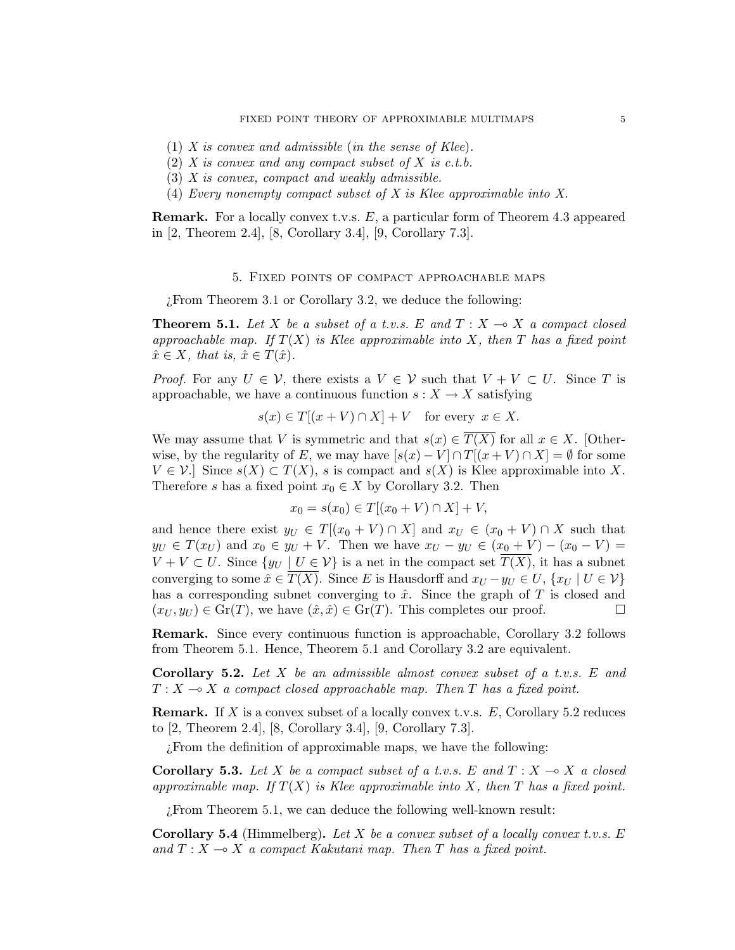- $(1)$  X is convex and admissible (in the sense of Klee).
- $(2)$  X is convex and any compact subset of X is c.t.b.
- (3) X is convex, compact and weakly admissible.
- (4) Every nonempty compact subset of X is Klee approximable into X.

Remark. For a locally convex t.v.s. E, a particular form of Theorem 4.3 appeared in [2, Theorem 2.4], [8, Corollary 3.4], [9, Corollary 7.3].

### 5. Fixed points of compact approachable maps

¿From Theorem 3.1 or Corollary 3.2, we deduce the following:

**Theorem 5.1.** Let X be a subset of a t.v.s. E and  $T : X \rightarrow X$  a compact closed approachable map. If  $T(X)$  is Klee approximable into X, then T has a fixed point  $\hat{x} \in X$ , that is,  $\hat{x} \in T(\hat{x})$ .

*Proof.* For any  $U \in \mathcal{V}$ , there exists a  $V \in \mathcal{V}$  such that  $V + V \subset U$ . Since T is approachable, we have a continuous function  $s: X \to X$  satisfying

 $s(x) \in T[(x + V) \cap X] + V$  for every  $x \in X$ .

We may assume that V is symmetric and that  $s(x) \in \overline{T(X)}$  for all  $x \in X$ . [Otherwise, by the regularity of E, we may have  $[s(x) - V] \cap T[(x + V) \cap X] = \emptyset$  for some  $V \in \mathcal{V}$ . Since  $s(X) \subset T(X)$ , s is compact and  $s(X)$  is Klee approximable into X. Therefore s has a fixed point  $x_0 \in X$  by Corollary 3.2. Then

$$
x_0 = s(x_0) \in T[(x_0 + V) \cap X] + V,
$$

and hence there exist  $y_U \in T[(x_0 + V) \cap X]$  and  $x_U \in (x_0 + V) \cap X$  such that  $y_U \in T(x_U)$  and  $x_0 \in y_U + V$ . Then we have  $x_U - y_U \in (x_0 + V) - (x_0 - V) =$  $V + V \subset U$ . Since  $\{y_U \mid U \in \mathcal{V}\}\$ is a net in the compact set  $T(X)$ , it has a subnet converging to some  $\hat{x} \in T(X)$ . Since E is Hausdorff and  $x_U - y_U \in U$ ,  $\{x_U \mid U \in V\}$ has a corresponding subnet converging to  $\hat{x}$ . Since the graph of T is closed and  $(x_U, y_U) \in \text{Gr}(T)$ , we have  $(\hat{x}, \hat{x}) \in \text{Gr}(T)$ . This completes our proof.

Remark. Since every continuous function is approachable, Corollary 3.2 follows from Theorem 5.1. Hence, Theorem 5.1 and Corollary 3.2 are equivalent.

**Corollary 5.2.** Let  $X$  be an admissible almost convex subset of a t.v.s.  $E$  and  $T : X \longrightarrow X$  a compact closed approachable map. Then T has a fixed point.

**Remark.** If X is a convex subset of a locally convex t.v.s.  $E$ , Corollary 5.2 reduces to [2, Theorem 2.4], [8, Corollary 3.4], [9, Corollary 7.3].

¿From the definition of approximable maps, we have the following:

**Corollary 5.3.** Let X be a compact subset of a t.v.s. E and  $T : X \rightarrow X$  a closed approximable map. If  $T(X)$  is Klee approximable into X, then T has a fixed point.

¿From Theorem 5.1, we can deduce the following well-known result:

**Corollary 5.4** (Himmelberg). Let X be a convex subset of a locally convex t.v.s.  $E$ and  $T : X \rightarrow X$  a compact Kakutani map. Then T has a fixed point.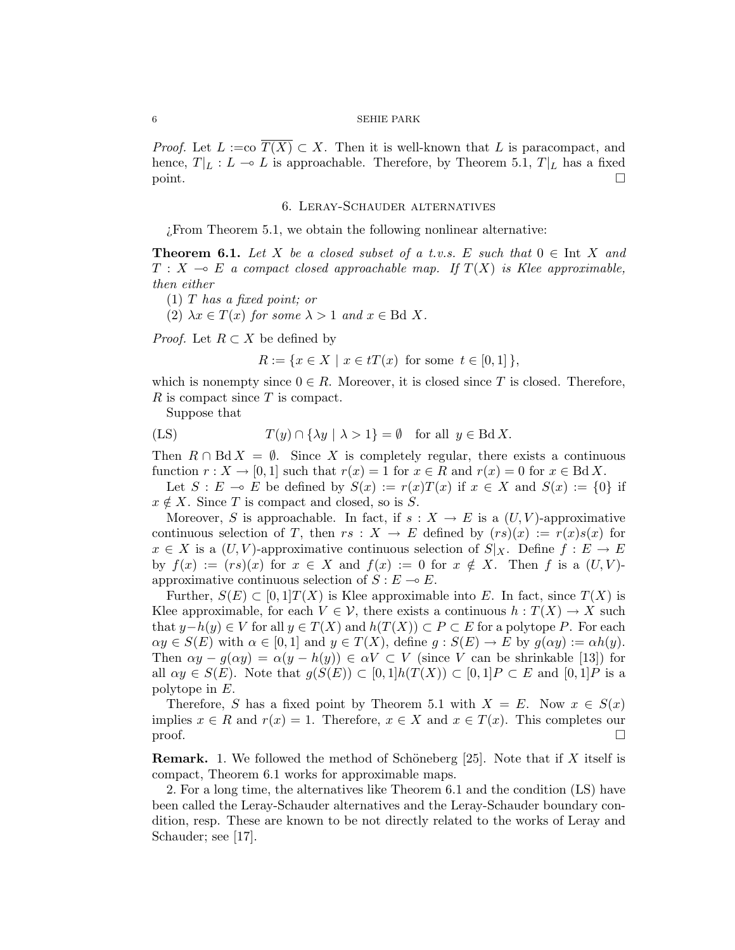*Proof.* Let  $L := \text{co } T(X) \subset X$ . Then it is well-known that L is paracompact, and hence,  $T|_L : L \to L$  is approachable. Therefore, by Theorem 5.1,  $T|_L$  has a fixed  $\Box$  point.

### 6. Leray-Schauder alternatives

¿From Theorem 5.1, we obtain the following nonlinear alternative:

**Theorem 6.1.** Let X be a closed subset of a t.v.s. E such that  $0 \in$  Int X and  $T : X \multimap E$  a compact closed approachable map. If  $T(X)$  is Klee approximable, then either

- (1) T has a fixed point; or
- (2)  $\lambda x \in T(x)$  for some  $\lambda > 1$  and  $x \in \text{Bd } X$ .

*Proof.* Let  $R \subset X$  be defined by

$$
R := \{ x \in X \mid x \in tT(x) \text{ for some } t \in [0,1] \},
$$

which is nonempty since  $0 \in R$ . Moreover, it is closed since T is closed. Therefore,  $R$  is compact since  $T$  is compact.

Suppose that

(LS) 
$$
T(y) \cap {\lambda y \mid \lambda > 1} = \emptyset
$$
 for all  $y \in BdX$ .

Then  $R \cap \text{Bd} X = \emptyset$ . Since X is completely regular, there exists a continuous function  $r : X \to [0, 1]$  such that  $r(x) = 1$  for  $x \in R$  and  $r(x) = 0$  for  $x \in BdX$ .

Let  $S : E \multimap E$  be defined by  $S(x) := r(x)T(x)$  if  $x \in X$  and  $S(x) := \{0\}$  if  $x \notin X$ . Since T is compact and closed, so is S.

Moreover, S is approachable. In fact, if  $s: X \to E$  is a  $(U, V)$ -approximative continuous selection of T, then  $rs : X \to E$  defined by  $(rs)(x) := r(x)s(x)$  for  $x \in X$  is a  $(U, V)$ -approximative continuous selection of  $S|_X$ . Define  $f : E \to E$ by  $f(x) := (rs)(x)$  for  $x \in X$  and  $f(x) := 0$  for  $x \notin X$ . Then f is a  $(U, V)$ approximative continuous selection of  $S : E \to E$ .

Further,  $S(E) \subset [0,1]T(X)$  is Klee approximable into E. In fact, since  $T(X)$  is Klee approximable, for each  $V \in \mathcal{V}$ , there exists a continuous  $h: T(X) \to X$  such that  $y-h(y) \in V$  for all  $y \in T(X)$  and  $h(T(X)) \subset P \subset E$  for a polytope P. For each  $\alpha y \in S(E)$  with  $\alpha \in [0,1]$  and  $y \in T(X)$ , define  $g : S(E) \to E$  by  $g(\alpha y) := \alpha h(y)$ . Then  $\alpha y - g(\alpha y) = \alpha (y - h(y)) \in \alpha V \subset V$  (since V can be shrinkable [13]) for all  $\alpha y \in S(E)$ . Note that  $g(S(E)) \subset [0,1]h(T(X)) \subset [0,1]P \subset E$  and  $[0,1]P$  is a polytope in E.

Therefore, S has a fixed point by Theorem 5.1 with  $X = E$ . Now  $x \in S(x)$ implies  $x \in R$  and  $r(x) = 1$ . Therefore,  $x \in X$  and  $x \in T(x)$ . This completes our  $\Box$ 

**Remark.** 1. We followed the method of Schöneberg [25]. Note that if X itself is compact, Theorem 6.1 works for approximable maps.

2. For a long time, the alternatives like Theorem 6.1 and the condition (LS) have been called the Leray-Schauder alternatives and the Leray-Schauder boundary condition, resp. These are known to be not directly related to the works of Leray and Schauder; see [17].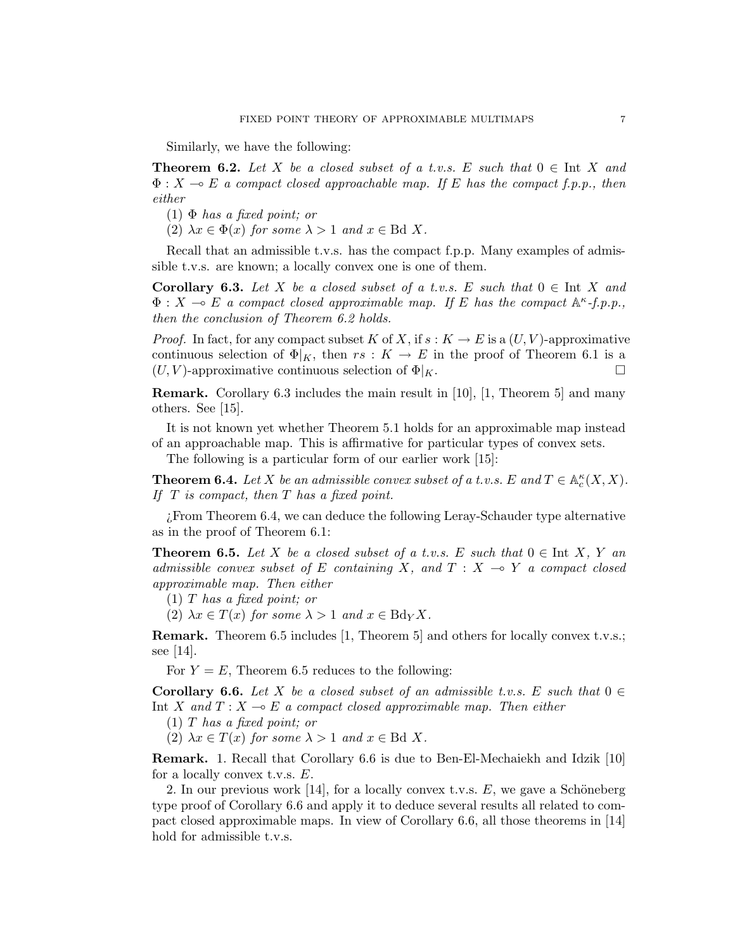Similarly, we have the following:

**Theorem 6.2.** Let X be a closed subset of a t.v.s. E such that  $0 \in \text{Int } X$  and  $\Phi: X \multimap E$  a compact closed approachable map. If E has the compact f.p.p., then either

 $(1)$   $\Phi$  has a fixed point; or

(2)  $\lambda x \in \Phi(x)$  for some  $\lambda > 1$  and  $x \in \text{Bd } X$ .

Recall that an admissible t.v.s. has the compact f.p.p. Many examples of admissible t.v.s. are known; a locally convex one is one of them.

**Corollary 6.3.** Let X be a closed subset of a t.v.s. E such that  $0 \in \text{Int } X$  and  $\Phi: X \multimap E$  a compact closed approximable map. If E has the compact  $A^{\kappa}$ -f.p.p., then the conclusion of Theorem 6.2 holds.

*Proof.* In fact, for any compact subset K of X, if  $s: K \to E$  is a  $(U, V)$ -approximative continuous selection of  $\Phi|_K$ , then  $rs: K \to E$  in the proof of Theorem 6.1 is a  $(U, V)$ -approximative continuous selection of  $\Phi|_K$ .

Remark. Corollary 6.3 includes the main result in [10], [1, Theorem 5] and many others. See [15].

It is not known yet whether Theorem 5.1 holds for an approximable map instead of an approachable map. This is affirmative for particular types of convex sets.

The following is a particular form of our earlier work [15]:

**Theorem 6.4.** Let X be an admissible convex subset of a t.v.s. E and  $T \in \mathbb{A}_c^{\kappa}(X, X)$ . If  $T$  is compact, then  $T$  has a fixed point.

¿From Theorem 6.4, we can deduce the following Leray-Schauder type alternative as in the proof of Theorem 6.1:

**Theorem 6.5.** Let X be a closed subset of a t.v.s. E such that  $0 \in \text{Int } X$ , Y an admissible convex subset of E containing X, and  $T : X \rightarrow Y$  a compact closed approximable map. Then either

(1) T has a fixed point; or

(2)  $\lambda x \in T(x)$  for some  $\lambda > 1$  and  $x \in BdyX$ .

Remark. Theorem 6.5 includes [1, Theorem 5] and others for locally convex t.v.s.; see [14].

For  $Y = E$ , Theorem 6.5 reduces to the following:

**Corollary 6.6.** Let X be a closed subset of an admissible t.v.s. E such that  $0 \in$ Int X and  $T : X \rightarrow E$  a compact closed approximable map. Then either

(1) T has a fixed point; or

(2)  $\lambda x \in T(x)$  for some  $\lambda > 1$  and  $x \in \text{Bd } X$ .

Remark. 1. Recall that Corollary 6.6 is due to Ben-El-Mechaiekh and Idzik [10] for a locally convex t.v.s. E.

2. In our previous work  $[14]$ , for a locally convex t.v.s. E, we gave a Schöneberg type proof of Corollary 6.6 and apply it to deduce several results all related to compact closed approximable maps. In view of Corollary 6.6, all those theorems in [14] hold for admissible t.v.s.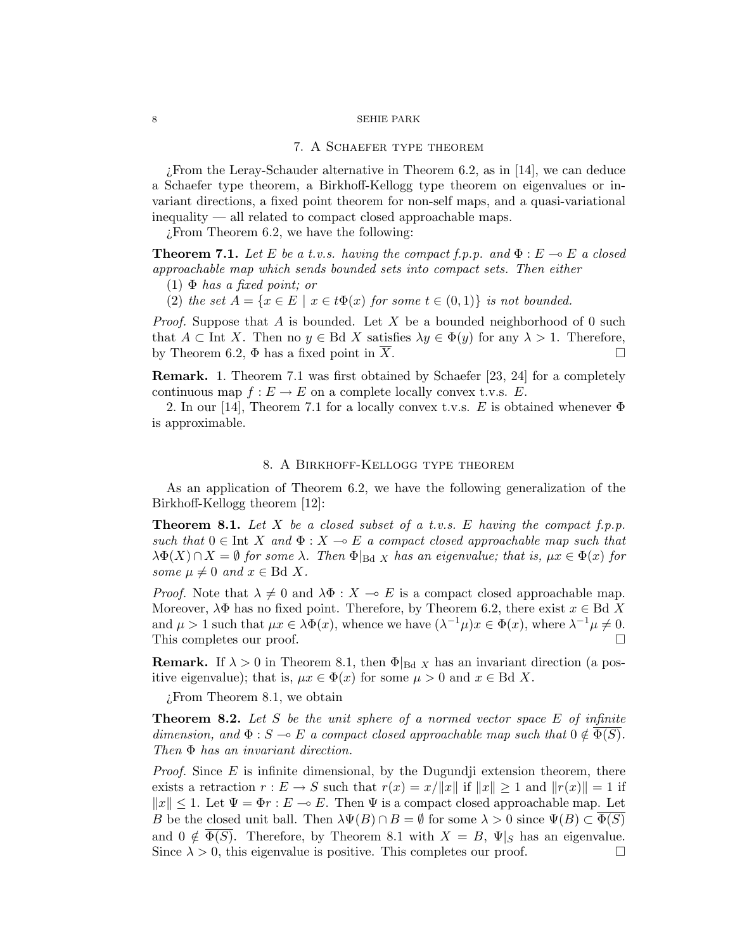### 7. A Schaefer type theorem

¿From the Leray-Schauder alternative in Theorem 6.2, as in [14], we can deduce a Schaefer type theorem, a Birkhoff-Kellogg type theorem on eigenvalues or invariant directions, a fixed point theorem for non-self maps, and a quasi-variational inequality — all related to compact closed approachable maps.

¿From Theorem 6.2, we have the following:

**Theorem 7.1.** Let E be a t.v.s. having the compact f.p.p. and  $\Phi : E \to E$  a closed approachable map which sends bounded sets into compact sets. Then either

- $(1)$   $\Phi$  has a fixed point; or
- (2) the set  $A = \{x \in E \mid x \in t\Phi(x) \text{ for some } t \in (0,1)\}\$ is not bounded.

*Proof.* Suppose that A is bounded. Let X be a bounded neighborhood of 0 such that  $A \subset \text{Int } X$ . Then no  $y \in \text{Bd } X$  satisfies  $\lambda y \in \Phi(y)$  for any  $\lambda > 1$ . Therefore, by Theorem 6.2,  $\Phi$  has a fixed point in X.

Remark. 1. Theorem 7.1 was first obtained by Schaefer [23, 24] for a completely continuous map  $f : E \to E$  on a complete locally convex t.v.s. E.

2. In our [14], Theorem 7.1 for a locally convex t.v.s. E is obtained whenever  $\Phi$ is approximable.

### 8. A Birkhoff-Kellogg type theorem

As an application of Theorem 6.2, we have the following generalization of the Birkhoff-Kellogg theorem [12]:

**Theorem 8.1.** Let X be a closed subset of a t.v.s. E having the compact f.p.p. such that  $0 \in \text{Int } X$  and  $\Phi : X \to E$  a compact closed approachable map such that  $\lambda \Phi(X) \cap X = \emptyset$  for some  $\lambda$ . Then  $\Phi|_{\text{Bd }X}$  has an eigenvalue; that is,  $\mu x \in \Phi(x)$  for some  $\mu \neq 0$  and  $x \in \text{Bd } X$ .

*Proof.* Note that  $\lambda \neq 0$  and  $\lambda \Phi : X \to E$  is a compact closed approachable map. Moreover,  $\lambda \Phi$  has no fixed point. Therefore, by Theorem 6.2, there exist  $x \in \text{Bd } X$ and  $\mu > 1$  such that  $\mu x \in \lambda \Phi(x)$ , whence we have  $(\lambda^{-1} \mu)x \in \Phi(x)$ , where  $\lambda^{-1} \mu \neq 0$ . This completes our proof.  $\Box$ 

**Remark.** If  $\lambda > 0$  in Theorem 8.1, then  $\Phi|_{\text{Bd } X}$  has an invariant direction (a positive eigenvalue); that is,  $\mu x \in \Phi(x)$  for some  $\mu > 0$  and  $x \in \text{Bd } X$ .

¿From Theorem 8.1, we obtain

**Theorem 8.2.** Let  $S$  be the unit sphere of a normed vector space  $E$  of infinite dimension, and  $\Phi : S \to E$  a compact closed approachable map such that  $0 \notin \Phi(S)$ . Then Φ has an invariant direction.

*Proof.* Since  $E$  is infinite dimensional, by the Dugundji extension theorem, there exists a retraction  $r : E \to S$  such that  $r(x) = x/||x||$  if  $||x|| \ge 1$  and  $||r(x)|| = 1$  if  $||x|| \leq 1$ . Let  $\Psi = \Phi r : E \to E$ . Then  $\Psi$  is a compact closed approachable map. Let B be the closed unit ball. Then  $\lambda \Psi(B) \cap B = \emptyset$  for some  $\lambda > 0$  since  $\Psi(B) \subset \Phi(S)$ and  $0 \notin \overline{\Phi(S)}$ . Therefore, by Theorem 8.1 with  $X = B$ ,  $\Psi|_{S}$  has an eigenvalue. Since  $\lambda > 0$ , this eigenvalue is positive. This completes our proof.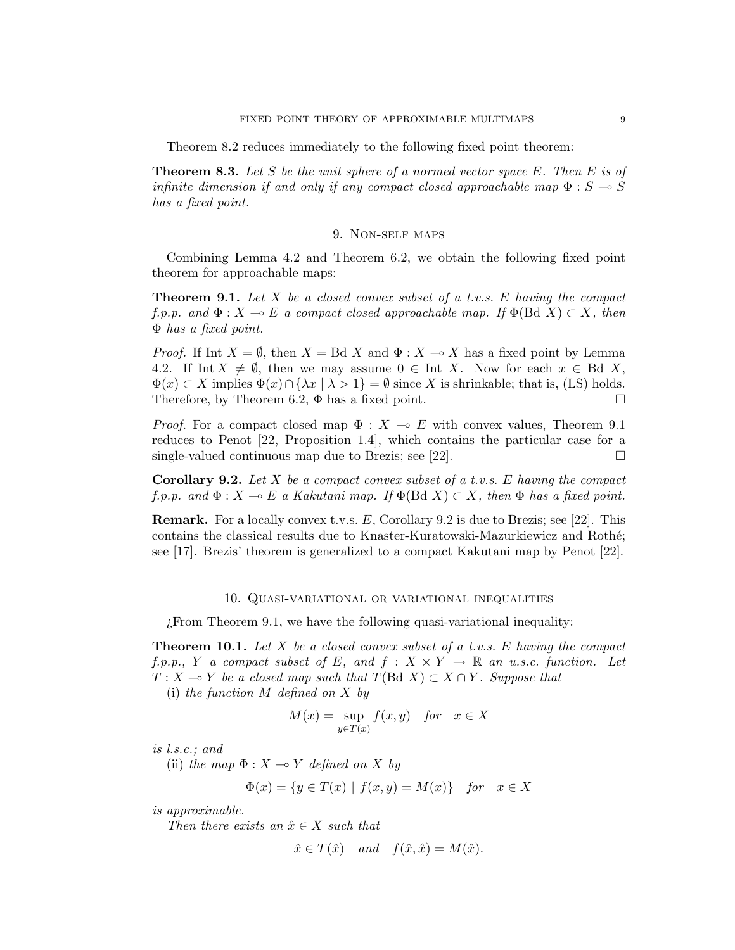Theorem 8.2 reduces immediately to the following fixed point theorem:

**Theorem 8.3.** Let S be the unit sphere of a normed vector space E. Then E is of infinite dimension if and only if any compact closed approachable map  $\Phi : S \to S$ has a fixed point.

# 9. Non-self maps

Combining Lemma 4.2 and Theorem 6.2, we obtain the following fixed point theorem for approachable maps:

**Theorem 9.1.** Let X be a closed convex subset of a t.v.s. E having the compact f.p.p. and  $\Phi: X \multimap E$  a compact closed approachable map. If  $\Phi(\text{Bd } X) \subset X$ , then Φ has a fixed point.

*Proof.* If Int  $X = \emptyset$ , then  $X = \text{Bd } X$  and  $\Phi : X \to X$  has a fixed point by Lemma 4.2. If Int  $X \neq \emptyset$ , then we may assume  $0 \in$  Int X. Now for each  $x \in$  Bd X,  $\Phi(x) \subset X$  implies  $\Phi(x) \cap {\lambda x \mid \lambda > 1} = \emptyset$  since X is shrinkable; that is, (LS) holds. Therefore, by Theorem 6.2,  $\Phi$  has a fixed point.  $\Box$ 

*Proof.* For a compact closed map  $\Phi : X \to E$  with convex values, Theorem 9.1 reduces to Penot [22, Proposition 1.4], which contains the particular case for a single-valued continuous map due to Brezis; see [22].  $\Box$ 

**Corollary 9.2.** Let X be a compact convex subset of a t.v.s. E having the compact f.p.p. and  $\Phi: X \to E$  a Kakutani map. If  $\Phi(\text{Bd } X) \subset X$ , then  $\Phi$  has a fixed point.

**Remark.** For a locally convex t.v.s.  $E$ , Corollary 9.2 is due to Brezis; see [22]. This contains the classical results due to Knaster-Kuratowski-Mazurkiewicz and Roth´e; see [17]. Brezis' theorem is generalized to a compact Kakutani map by Penot [22].

### 10. Quasi-variational or variational inequalities

¿From Theorem 9.1, we have the following quasi-variational inequality:

**Theorem 10.1.** Let  $X$  be a closed convex subset of a t.v.s.  $E$  having the compact f.p.p., Y a compact subset of E, and  $f: X \times Y \to \mathbb{R}$  an u.s.c. function. Let  $T : X \longrightarrow Y$  be a closed map such that  $T(\text{Bd } X) \subset X \cap Y$ . Suppose that (i) the function  $M$  defined on  $X$  by

$$
M(x) = \sup_{y \in T(x)} f(x, y) \quad \text{for} \quad x \in X
$$

is l.s.c.; and

(ii) the map  $\Phi: X \to Y$  defined on X by

$$
\Phi(x) = \{ y \in T(x) \mid f(x, y) = M(x) \} \quad \text{for} \quad x \in X
$$

is approximable.

Then there exists an  $\hat{x} \in X$  such that

$$
\hat{x} \in T(\hat{x})
$$
 and  $f(\hat{x}, \hat{x}) = M(\hat{x}).$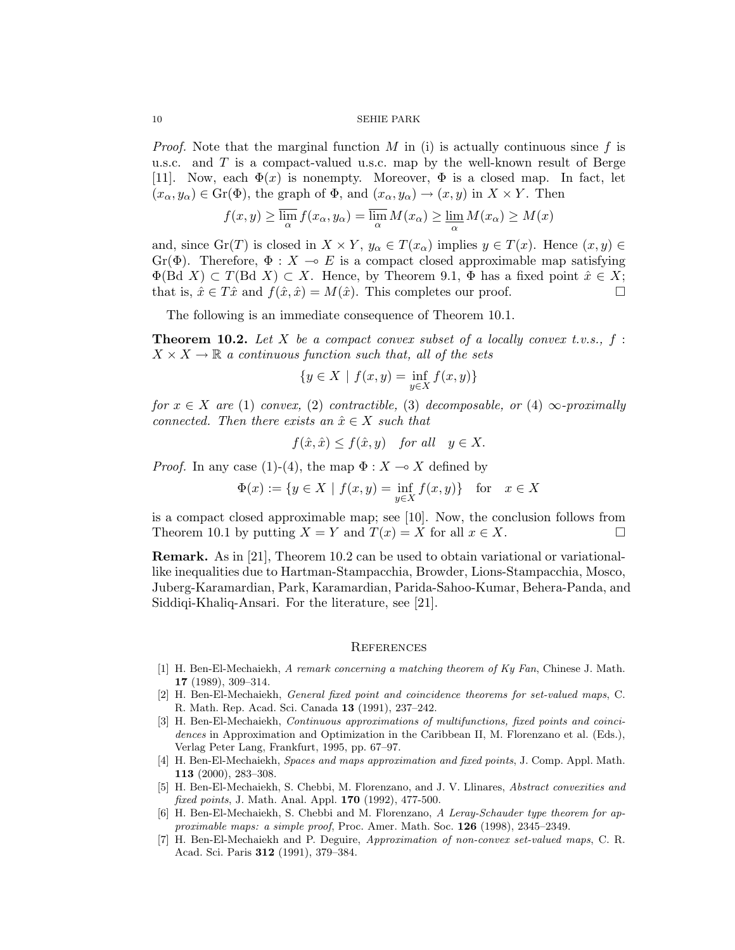*Proof.* Note that the marginal function M in (i) is actually continuous since f is u.s.c. and  $T$  is a compact-valued u.s.c. map by the well-known result of Berge [11]. Now, each  $\Phi(x)$  is nonempty. Moreover,  $\Phi$  is a closed map. In fact, let  $(x_{\alpha}, y_{\alpha}) \in \text{Gr}(\Phi)$ , the graph of  $\Phi$ , and  $(x_{\alpha}, y_{\alpha}) \to (x, y)$  in  $X \times Y$ . Then

$$
f(x,y) \ge \overline{\lim_{\alpha}} f(x_{\alpha}, y_{\alpha}) = \overline{\lim_{\alpha}} M(x_{\alpha}) \ge \underline{\lim_{\alpha}} M(x_{\alpha}) \ge M(x)
$$

and, since  $\text{Gr}(T)$  is closed in  $X \times Y$ ,  $y_{\alpha} \in T(x_{\alpha})$  implies  $y \in T(x)$ . Hence  $(x, y) \in$ Gr( $\Phi$ ). Therefore,  $\Phi : X \multimap E$  is a compact closed approximable map satisfying  $\Phi(\text{Bd } X) \subset T(\text{Bd } X) \subset X$ . Hence, by Theorem 9.1,  $\Phi$  has a fixed point  $\hat{x} \in X$ ; that is,  $\hat{x} \in T\hat{x}$  and  $f(\hat{x}, \hat{x}) = M(\hat{x})$ . This completes our proof.

The following is an immediate consequence of Theorem 10.1.

**Theorem 10.2.** Let X be a compact convex subset of a locally convex t.v.s.,  $f$ :  $X \times X \to \mathbb{R}$  a continuous function such that, all of the sets

$$
\{y\in X~|~f(x,y)=\inf_{y\in X}f(x,y)\}
$$

for  $x \in X$  are (1) convex, (2) contractible, (3) decomposable, or (4)  $\infty$ -proximally connected. Then there exists an  $\hat{x} \in X$  such that

$$
f(\hat{x}, \hat{x}) \leq f(\hat{x}, y)
$$
 for all  $y \in X$ .

*Proof.* In any case (1)-(4), the map  $\Phi : X \to X$  defined by

$$
\Phi(x) := \{ y \in X \mid f(x, y) = \inf_{y \in X} f(x, y) \} \text{ for } x \in X
$$

is a compact closed approximable map; see [10]. Now, the conclusion follows from Theorem 10.1 by putting  $X = Y$  and  $T(x) = X$  for all  $x \in X$ .

Remark. As in [21], Theorem 10.2 can be used to obtain variational or variationallike inequalities due to Hartman-Stampacchia, Browder, Lions-Stampacchia, Mosco, Juberg-Karamardian, Park, Karamardian, Parida-Sahoo-Kumar, Behera-Panda, and Siddiqi-Khaliq-Ansari. For the literature, see [21].

# **REFERENCES**

- [1] H. Ben-El-Mechaiekh, A remark concerning a matching theorem of Ky Fan, Chinese J. Math. 17 (1989), 309–314.
- [2] H. Ben-El-Mechaiekh, General fixed point and coincidence theorems for set-valued maps, C. R. Math. Rep. Acad. Sci. Canada 13 (1991), 237–242.
- [3] H. Ben-El-Mechaiekh, Continuous approximations of multifunctions, fixed points and coincidences in Approximation and Optimization in the Caribbean II, M. Florenzano et al. (Eds.), Verlag Peter Lang, Frankfurt, 1995, pp. 67–97.
- [4] H. Ben-El-Mechaiekh, Spaces and maps approximation and fixed points, J. Comp. Appl. Math. 113 (2000), 283–308.
- [5] H. Ben-El-Mechaiekh, S. Chebbi, M. Florenzano, and J. V. Llinares, Abstract convexities and fixed points, J. Math. Anal. Appl. 170 (1992), 477-500.
- [6] H. Ben-El-Mechaiekh, S. Chebbi and M. Florenzano, A Leray-Schauder type theorem for approximable maps: a simple proof, Proc. Amer. Math. Soc. 126 (1998), 2345–2349.
- [7] H. Ben-El-Mechaiekh and P. Deguire, Approximation of non-convex set-valued maps, C. R. Acad. Sci. Paris 312 (1991), 379–384.